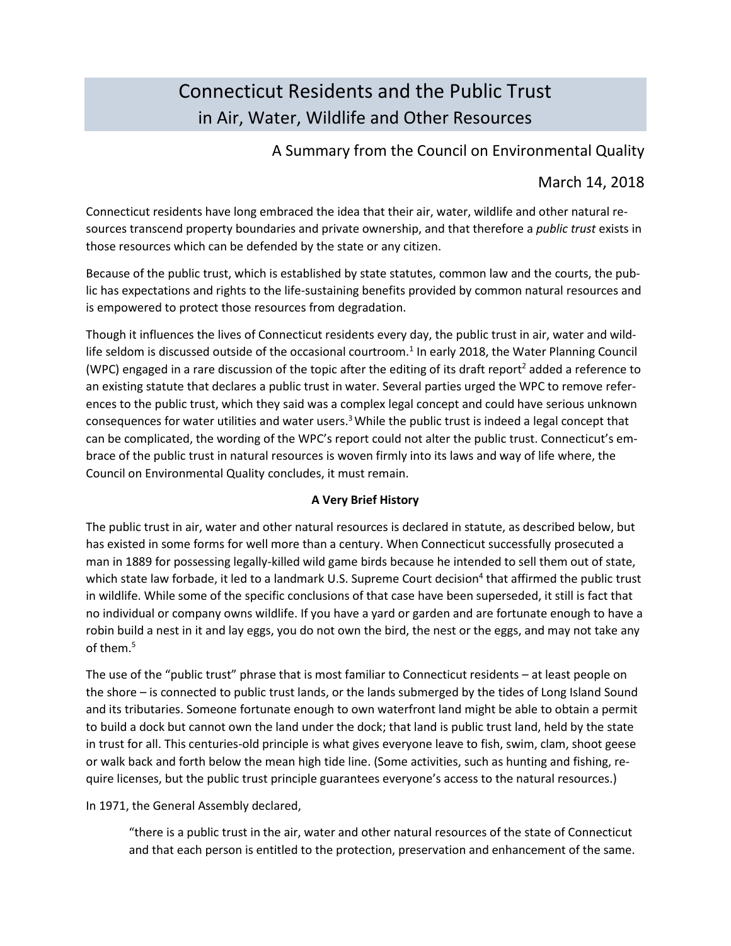# Connecticut Residents and the Public Trust in Air, Water, Wildlife and Other Resources

## A Summary from the Council on Environmental Quality

# March 14, 2018

Connecticut residents have long embraced the idea that their air, water, wildlife and other natural resources transcend property boundaries and private ownership, and that therefore a *public trust* exists in those resources which can be defended by the state or any citizen.

Because of the public trust, which is established by state statutes, common law and the courts, the public has expectations and rights to the life-sustaining benefits provided by common natural resources and is empowered to protect those resources from degradation.

Though it influences the lives of Connecticut residents every day, the public trust in air, water and wildlife seldom is discussed outside of the occasional courtroom.<sup>1</sup> In early 2018, the Water Planning Council (WPC) engaged in a rare discussion of the topic after the editing of its draft report<sup>2</sup> added a reference to an existing statute that declares a public trust in water. Several parties urged the WPC to remove references to the public trust, which they said was a complex legal concept and could have serious unknown consequences for water utilities and water users.<sup>3</sup> While the public trust is indeed a legal concept that can be complicated, the wording of the WPC's report could not alter the public trust. Connecticut's embrace of the public trust in natural resources is woven firmly into its laws and way of life where, the Council on Environmental Quality concludes, it must remain.

## **A Very Brief History**

The public trust in air, water and other natural resources is declared in statute, as described below, but has existed in some forms for well more than a century. When Connecticut successfully prosecuted a man in 1889 for possessing legally-killed wild game birds because he intended to sell them out of state, which state law forbade, it led to a landmark U.S. Supreme Court decision<sup>4</sup> that affirmed the public trust in wildlife. While some of the specific conclusions of that case have been superseded, it still is fact that no individual or company owns wildlife. If you have a yard or garden and are fortunate enough to have a robin build a nest in it and lay eggs, you do not own the bird, the nest or the eggs, and may not take any of them.<sup>5</sup>

The use of the "public trust" phrase that is most familiar to Connecticut residents – at least people on the shore – is connected to public trust lands, or the lands submerged by the tides of Long Island Sound and its tributaries. Someone fortunate enough to own waterfront land might be able to obtain a permit to build a dock but cannot own the land under the dock; that land is public trust land, held by the state in trust for all. This centuries-old principle is what gives everyone leave to fish, swim, clam, shoot geese or walk back and forth below the mean high tide line. (Some activities, such as hunting and fishing, require licenses, but the public trust principle guarantees everyone's access to the natural resources.)

In 1971, the General Assembly declared,

"there is a public trust in the air, water and other natural resources of the state of Connecticut and that each person is entitled to the protection, preservation and enhancement of the same.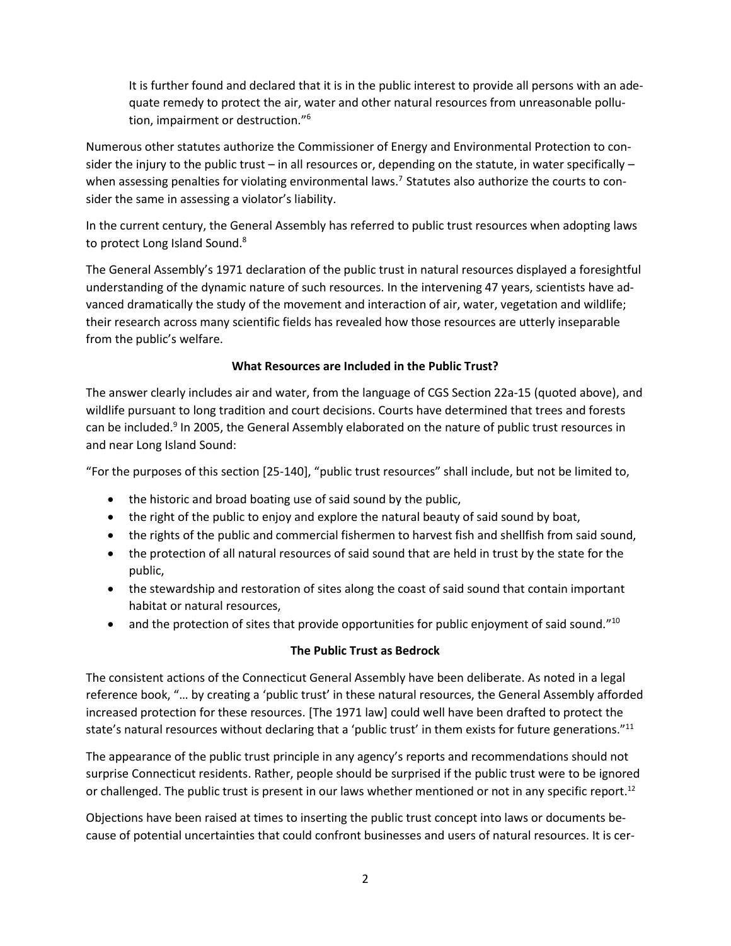It is further found and declared that it is in the public interest to provide all persons with an adequate remedy to protect the air, water and other natural resources from unreasonable pollution, impairment or destruction." 6

Numerous other statutes authorize the Commissioner of Energy and Environmental Protection to consider the injury to the public trust – in all resources or, depending on the statute, in water specifically – when assessing penalties for violating environmental laws.<sup>7</sup> Statutes also authorize the courts to consider the same in assessing a violator's liability.

In the current century, the General Assembly has referred to public trust resources when adopting laws to protect Long Island Sound.<sup>8</sup>

The General Assembly's 1971 declaration of the public trust in natural resources displayed a foresightful understanding of the dynamic nature of such resources. In the intervening 47 years, scientists have advanced dramatically the study of the movement and interaction of air, water, vegetation and wildlife; their research across many scientific fields has revealed how those resources are utterly inseparable from the public's welfare.

## **What Resources are Included in the Public Trust?**

The answer clearly includes air and water, from the language of CGS Section 22a-15 (quoted above), and wildlife pursuant to long tradition and court decisions. Courts have determined that trees and forests can be included.<sup>9</sup> In 2005, the General Assembly elaborated on the nature of public trust resources in and near Long Island Sound:

"For the purposes of this section [25-140], "public trust resources" shall include, but not be limited to,

- the historic and broad boating use of said sound by the public,
- the right of the public to enjoy and explore the natural beauty of said sound by boat,
- the rights of the public and commercial fishermen to harvest fish and shellfish from said sound,
- the protection of all natural resources of said sound that are held in trust by the state for the public,
- the stewardship and restoration of sites along the coast of said sound that contain important habitat or natural resources,
- and the protection of sites that provide opportunities for public enjoyment of said sound."<sup>10</sup>

#### **The Public Trust as Bedrock**

The consistent actions of the Connecticut General Assembly have been deliberate. As noted in a legal reference book, "… by creating a 'public trust' in these natural resources, the General Assembly afforded increased protection for these resources. [The 1971 law] could well have been drafted to protect the state's natural resources without declaring that a 'public trust' in them exists for future generations."<sup>11</sup>

The appearance of the public trust principle in any agency's reports and recommendations should not surprise Connecticut residents. Rather, people should be surprised if the public trust were to be ignored or challenged. The public trust is present in our laws whether mentioned or not in any specific report.<sup>12</sup>

Objections have been raised at times to inserting the public trust concept into laws or documents because of potential uncertainties that could confront businesses and users of natural resources. It is cer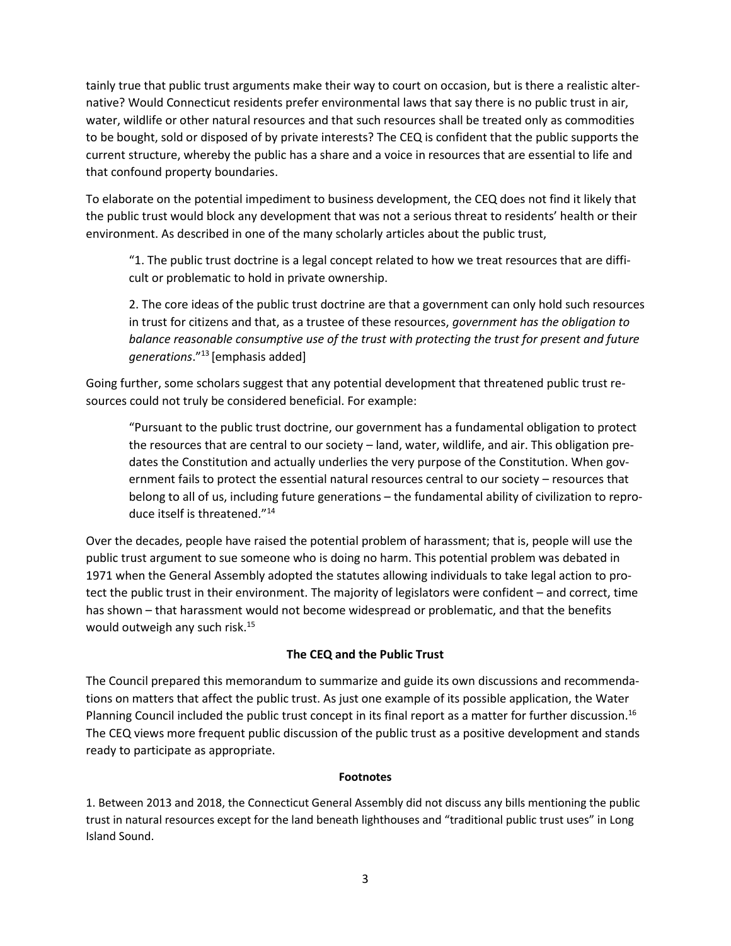tainly true that public trust arguments make their way to court on occasion, but is there a realistic alternative? Would Connecticut residents prefer environmental laws that say there is no public trust in air, water, wildlife or other natural resources and that such resources shall be treated only as commodities to be bought, sold or disposed of by private interests? The CEQ is confident that the public supports the current structure, whereby the public has a share and a voice in resources that are essential to life and that confound property boundaries.

To elaborate on the potential impediment to business development, the CEQ does not find it likely that the public trust would block any development that was not a serious threat to residents' health or their environment. As described in one of the many scholarly articles about the public trust,

"1. The public trust doctrine is a legal concept related to how we treat resources that are difficult or problematic to hold in private ownership.

2. The core ideas of the public trust doctrine are that a government can only hold such resources in trust for citizens and that, as a trustee of these resources, *government has the obligation to balance reasonable consumptive use of the trust with protecting the trust for present and future generations*." 13 [emphasis added]

Going further, some scholars suggest that any potential development that threatened public trust resources could not truly be considered beneficial. For example:

"Pursuant to the public trust doctrine, our government has a fundamental obligation to protect the resources that are central to our society – land, water, wildlife, and air. This obligation predates the Constitution and actually underlies the very purpose of the Constitution. When government fails to protect the essential natural resources central to our society – resources that belong to all of us, including future generations – the fundamental ability of civilization to reproduce itself is threatened."<sup>14</sup>

Over the decades, people have raised the potential problem of harassment; that is, people will use the public trust argument to sue someone who is doing no harm. This potential problem was debated in 1971 when the General Assembly adopted the statutes allowing individuals to take legal action to protect the public trust in their environment. The majority of legislators were confident – and correct, time has shown – that harassment would not become widespread or problematic, and that the benefits would outweigh any such risk.<sup>15</sup>

## **The CEQ and the Public Trust**

The Council prepared this memorandum to summarize and guide its own discussions and recommendations on matters that affect the public trust. As just one example of its possible application, the Water Planning Council included the public trust concept in its final report as a matter for further discussion.<sup>16</sup> The CEQ views more frequent public discussion of the public trust as a positive development and stands ready to participate as appropriate.

#### **Footnotes**

1. Between 2013 and 2018, the Connecticut General Assembly did not discuss any bills mentioning the public trust in natural resources except for the land beneath lighthouses and "traditional public trust uses" in Long Island Sound.